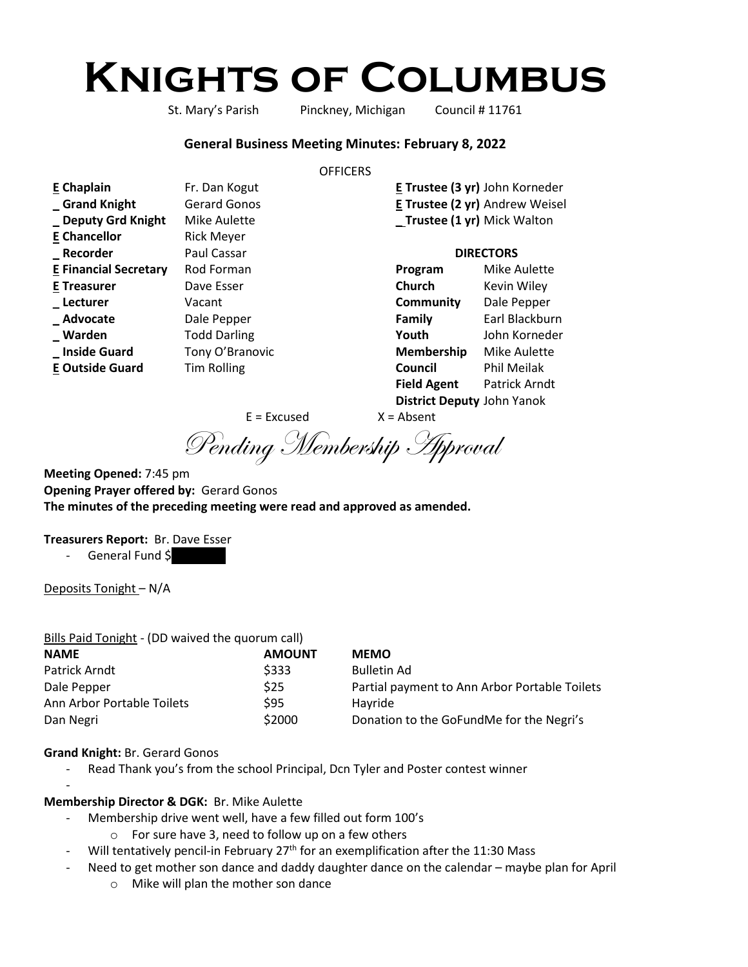# **Knights of Columbus**

**E Chaplain** Fr. Dan Kogut

St. Mary's Parish Pinckney, Michigan Council # 11761

**E Trustee (3 yr)** John Korneder

### **General Business Meeting Minutes: February 8, 2022**

#### **OFFICERS**

| L Chapiani                   | <b>TI. DAII NUXUL</b> |                    | <b>L Hustee (3 YI)</b> JUIN RUTTEUEL |
|------------------------------|-----------------------|--------------------|--------------------------------------|
| Grand Knight                 | <b>Gerard Gonos</b>   |                    | E Trustee (2 yr) Andrew Weisel       |
| _ Deputy Grd Knight          | Mike Aulette          |                    | _Trustee (1 yr) Mick Walton          |
| <b>E</b> Chancellor          | <b>Rick Meyer</b>     |                    |                                      |
| _Recorder                    | Paul Cassar           | <b>DIRECTORS</b>   |                                      |
| <b>E Financial Secretary</b> | Rod Forman            | Program            | Mike Aulette                         |
| <b>E</b> Treasurer           | Dave Esser            | Church             | Kevin Wiley                          |
| _ Lecturer                   | Vacant                | Community          | Dale Pepper                          |
| _Advocate                    | Dale Pepper           | <b>Family</b>      | Earl Blackburn                       |
| _ Warden                     | <b>Todd Darling</b>   | Youth              | John Korneder                        |
| _ Inside Guard               | Tony O'Branovic       | Membership         | Mike Aulette                         |
| <b>E Outside Guard</b>       | <b>Tim Rolling</b>    | Council            | Phil Meilak                          |
|                              |                       | <b>Field Agent</b> | Patrick Arndt                        |

**District Deputy** John Yanok

 $E = Excused$   $X = Absent$ 

Pending Membership Approval

**Meeting Opened:** 7:45 pm **Opening Prayer offered by:** Gerard Gonos **The minutes of the preceding meeting were read and approved as amended.**

#### **Treasurers Report:** Br. Dave Esser

- General Fund \$

Deposits Tonight – N/A

| Bills Paid Tonight - (DD waived the quorum call) |                                               |
|--------------------------------------------------|-----------------------------------------------|
| <b>AMOUNT</b>                                    | <b>MEMO</b>                                   |
| \$333                                            | <b>Bulletin Ad</b>                            |
| \$25                                             | Partial payment to Ann Arbor Portable Toilets |
| \$95                                             | Hayride                                       |
| \$2000                                           | Donation to the GoFundMe for the Negri's      |
|                                                  |                                               |

#### **Grand Knight:** Br. Gerard Gonos

-

- Read Thank you's from the school Principal, Dcn Tyler and Poster contest winner

#### **Membership Director & DGK:** Br. Mike Aulette

- Membership drive went well, have a few filled out form 100's
	- o For sure have 3, need to follow up on a few others
- Will tentatively pencil-in February  $27<sup>th</sup>$  for an exemplification after the 11:30 Mass
- Need to get mother son dance and daddy daughter dance on the calendar maybe plan for April
	- o Mike will plan the mother son dance